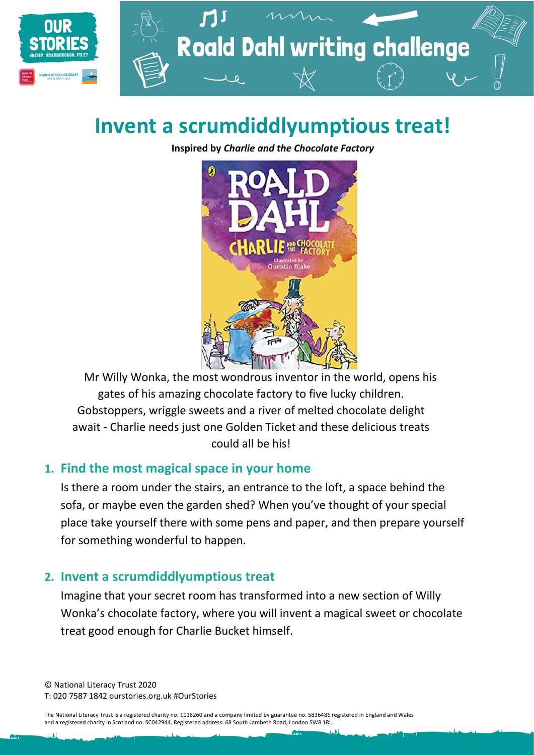

# **Invent a scrumdiddlyumptious treat!**

**Inspired by** *Charlie and the Chocolate Factory*



Mr Willy Wonka, the most wondrous inventor in the world, opens his gates of his amazing chocolate factory to five lucky children. Gobstoppers, wriggle sweets and a river of melted chocolate delight await - Charlie needs just one Golden Ticket and these delicious treats could all be his!

#### **1. Find the most magical space in your home**

Is there a room under the stairs, an entrance to the loft, a space behind the sofa, or maybe even the garden shed? When you've thought of your special place take yourself there with some pens and paper, and then prepare yourself for something wonderful to happen.

#### **2. Invent a scrumdiddlyumptious treat**

Imagine that your secret room has transformed into a new section of Willy Wonka's chocolate factory, where you will invent a magical sweet or chocolate treat good enough for Charlie Bucket himself.

© National Literacy Trust 2020 T: 020 7587 1842 ourstories.org.uk #OurStories

The National Literacy Trust is a registered charity no. 1116260 and a company limited by guarantee no. 5836486 registered in England and Wales and a registered charity in Scotland no. SC042944. Registered address: 68 South Lambeth Road, London SW8 1RL.